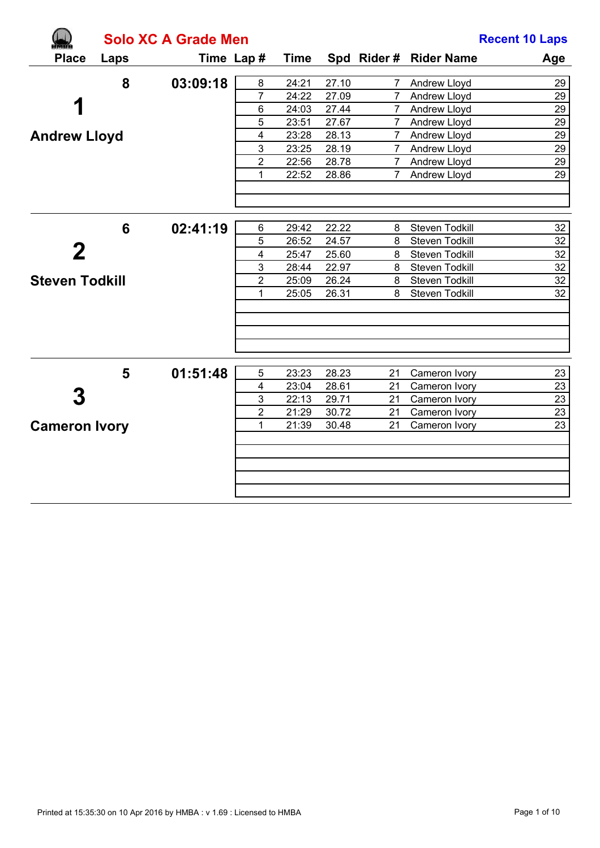|                       | <b>Solo XC A Grade Men</b> | <b>Recent 10 Laps</b> |                |             |       |                 |                        |                 |
|-----------------------|----------------------------|-----------------------|----------------|-------------|-------|-----------------|------------------------|-----------------|
| <b>Place</b>          | Laps                       | Time Lap#             |                | <b>Time</b> |       |                 | Spd Rider # Rider Name | Age             |
|                       | 8                          | 03:09:18              | 8              | 24:21       | 27.10 | $7^{\circ}$     | Andrew Lloyd           | 29              |
|                       |                            |                       | $\overline{7}$ | 24:22       | 27.09 | $7^{\circ}$     | Andrew Lloyd           | 29              |
|                       |                            |                       | $\,6$          | 24:03       | 27.44 | $7^{\circ}$     | Andrew Lloyd           | 29              |
|                       |                            |                       | 5              | 23:51       | 27.67 | $7^{\circ}$     | Andrew Lloyd           | $\overline{29}$ |
| <b>Andrew Lloyd</b>   |                            |                       | 4              | 23:28       | 28.13 | $7\overline{ }$ | Andrew Lloyd           | 29              |
|                       |                            |                       | 3              | 23:25       | 28.19 |                 | 7 Andrew Lloyd         | 29              |
|                       |                            |                       | $\overline{c}$ | 22:56       | 28.78 | $7\phantom{0}$  | Andrew Lloyd           | $\overline{29}$ |
|                       |                            |                       | 1              | 22:52       | 28.86 | $7^{\circ}$     | Andrew Lloyd           | $\overline{29}$ |
|                       |                            |                       |                |             |       |                 |                        |                 |
|                       | 6                          | 02:41:19              | 6              | 29:42       | 22.22 | 8               | Steven Todkill         | 32              |
|                       |                            |                       | 5              | 26:52       | 24.57 | 8               | Steven Todkill         | 32              |
|                       |                            |                       | 4              | 25:47       | 25.60 | 8               | Steven Todkill         | 32              |
|                       |                            |                       | 3              | 28:44       | 22.97 | 8               | Steven Todkill         | 32              |
| <b>Steven Todkill</b> |                            |                       | $\overline{2}$ | 25:09       | 26.24 | 8               | Steven Todkill         | $\overline{32}$ |
|                       |                            |                       | 1              | 25:05       | 26.31 | 8               | Steven Todkill         | 32              |
|                       |                            |                       |                |             |       |                 |                        |                 |
|                       | 5                          | 01:51:48              | 5              | 23:23       | 28.23 | 21              | Cameron Ivory          | 23              |
|                       |                            |                       | 4              | 23:04       | 28.61 | 21              | Cameron Ivory          | $\overline{23}$ |
|                       |                            |                       | $\mathbf{3}$   | 22:13       | 29.71 | 21              | Cameron Ivory          | 23              |
|                       |                            |                       | $\overline{2}$ | 21:29       | 30.72 | 21              | Cameron Ivory          | 23              |
| <b>Cameron Ivory</b>  |                            |                       | 1              | 21:39       | 30.48 | 21              | Cameron Ivory          | 23              |
|                       |                            |                       |                |             |       |                 |                        |                 |
|                       |                            |                       |                |             |       |                 |                        |                 |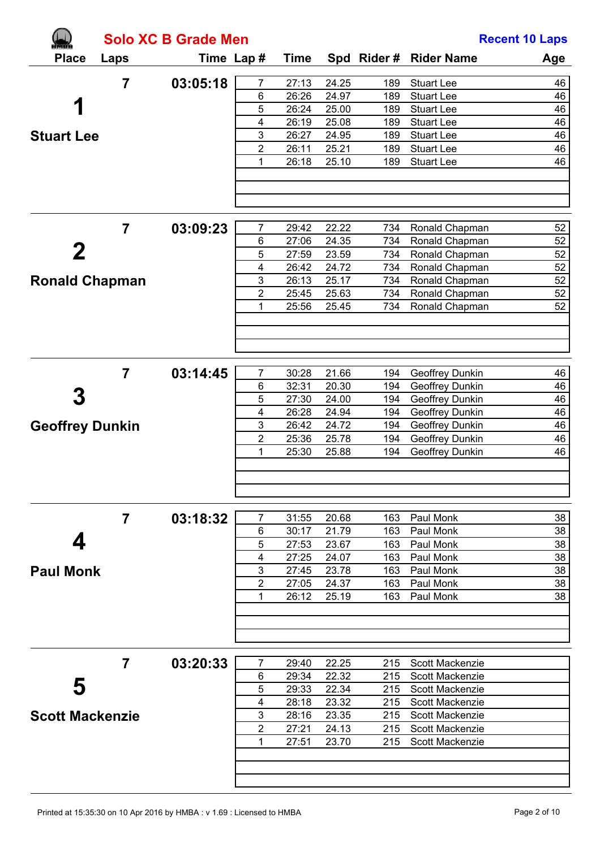|                        |                | <b>Solo XC B Grade Men</b> |                |             |       |     |                        | <b>Recent 10 Laps</b> |
|------------------------|----------------|----------------------------|----------------|-------------|-------|-----|------------------------|-----------------------|
| <b>Place</b>           | Laps           | Time Lap #                 |                | <b>Time</b> |       |     | Spd Rider # Rider Name | Age                   |
|                        | $\overline{7}$ | 03:05:18                   | $\overline{7}$ | 27:13       | 24.25 | 189 | <b>Stuart Lee</b>      | 46                    |
|                        |                |                            | 6              | 26:26       | 24.97 | 189 | <b>Stuart Lee</b>      | 46                    |
| 1                      |                |                            | 5              | 26:24       | 25.00 | 189 | <b>Stuart Lee</b>      | 46                    |
|                        |                |                            | 4              | 26:19       | 25.08 | 189 | <b>Stuart Lee</b>      | 46                    |
| <b>Stuart Lee</b>      |                |                            | $\mathbf{3}$   | 26:27       | 24.95 | 189 | <b>Stuart Lee</b>      | 46                    |
|                        |                |                            | $\overline{2}$ | 26:11       | 25.21 | 189 | <b>Stuart Lee</b>      | 46                    |
|                        |                |                            | 1              | 26:18       | 25.10 | 189 | <b>Stuart Lee</b>      | 46                    |
|                        |                |                            |                |             |       |     |                        |                       |
|                        | $\overline{7}$ | 03:09:23                   | 7              | 29:42       | 22.22 | 734 | Ronald Chapman         | 52                    |
|                        |                |                            | 6              | 27:06       | 24.35 | 734 | Ronald Chapman         | 52                    |
|                        |                |                            | 5              | 27:59       | 23.59 | 734 | Ronald Chapman         | 52                    |
|                        |                |                            | $\overline{4}$ | 26:42       | 24.72 | 734 | Ronald Chapman         | 52                    |
| <b>Ronald Chapman</b>  |                |                            | $\mathbf{3}$   | 26:13       | 25.17 | 734 | Ronald Chapman         | 52                    |
|                        |                |                            | $\overline{2}$ | 25:45       | 25.63 | 734 | Ronald Chapman         | 52                    |
|                        |                |                            | 1              | 25:56       | 25.45 | 734 | Ronald Chapman         | 52                    |
|                        |                |                            |                |             |       |     |                        |                       |
|                        | $\overline{7}$ | 03:14:45                   | $\overline{7}$ | 30:28       | 21.66 | 194 | Geoffrey Dunkin        | 46                    |
|                        |                |                            | 6              | 32:31       | 20.30 | 194 | Geoffrey Dunkin        | 46                    |
|                        |                |                            | 5              | 27:30       | 24.00 | 194 | Geoffrey Dunkin        | 46                    |
|                        |                |                            | $\overline{4}$ | 26:28       | 24.94 | 194 | Geoffrey Dunkin        | 46                    |
| <b>Geoffrey Dunkin</b> |                |                            | $\mathbf{3}$   | 26:42       | 24.72 | 194 | Geoffrey Dunkin        | 46                    |
|                        |                |                            | $\overline{2}$ | 25:36       | 25.78 | 194 | Geoffrey Dunkin        | 46                    |
|                        |                |                            | 1              | 25:30       | 25.88 | 194 | Geoffrey Dunkin        | 46                    |
|                        |                |                            |                |             |       |     |                        |                       |
|                        | $\overline{7}$ | 03:18:32                   | $\overline{7}$ | 31:55       | 20.68 | 163 | Paul Monk              | 38                    |
|                        |                |                            | 6              | 30:17       | 21.79 | 163 | Paul Monk              | 38                    |
| 4                      |                |                            | 5              | 27:53       | 23.67 | 163 | Paul Monk              | 38                    |
|                        |                |                            | $\overline{4}$ | 27:25       | 24.07 | 163 | Paul Monk              | 38                    |
| <b>Paul Monk</b>       |                |                            | 3              | 27:45       | 23.78 | 163 | Paul Monk              | 38                    |
|                        |                |                            | $\overline{2}$ | 27:05       | 24.37 | 163 | Paul Monk              | 38                    |
|                        |                |                            | 1              | 26:12       | 25.19 | 163 | Paul Monk              | 38                    |
|                        |                |                            |                |             |       |     |                        |                       |
|                        | $\overline{7}$ | 03:20:33                   | 7              | 29:40       | 22.25 | 215 | Scott Mackenzie        |                       |
|                        |                |                            | 6              | 29:34       | 22.32 | 215 | Scott Mackenzie        |                       |
| 5                      |                |                            | 5              | 29:33       | 22.34 | 215 | Scott Mackenzie        |                       |
|                        |                |                            | $\overline{4}$ | 28:18       | 23.32 | 215 | Scott Mackenzie        |                       |
| <b>Scott Mackenzie</b> |                |                            | $\mathbf{3}$   | 28:16       | 23.35 | 215 | Scott Mackenzie        |                       |
|                        |                |                            | $\overline{2}$ | 27:21       | 24.13 | 215 | Scott Mackenzie        |                       |
|                        |                |                            | 1              | 27:51       | 23.70 | 215 | Scott Mackenzie        |                       |
|                        |                |                            |                |             |       |     |                        |                       |
|                        |                |                            |                |             |       |     |                        |                       |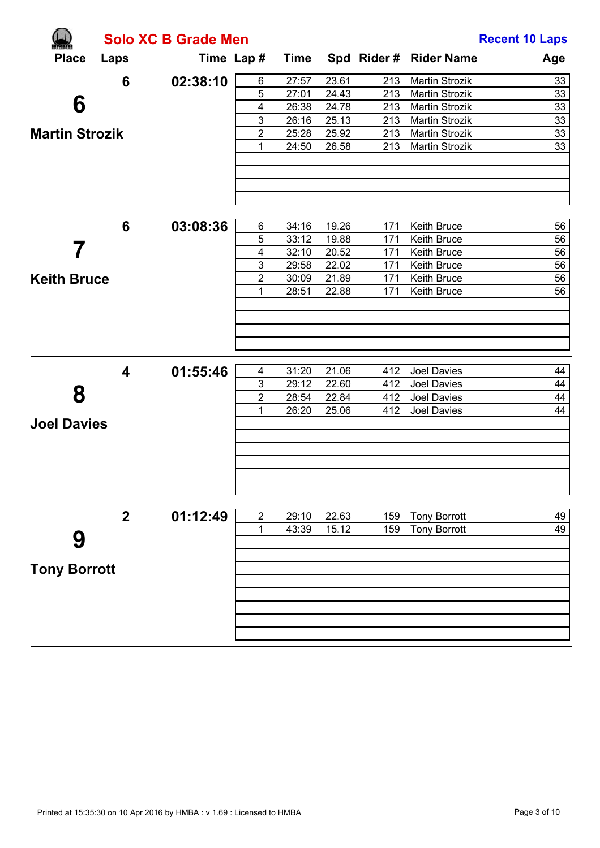|                       |                         | <b>Solo XC B Grade Men</b> |                  |                |                |            |                            | <b>Recent 10 Laps</b> |
|-----------------------|-------------------------|----------------------------|------------------|----------------|----------------|------------|----------------------------|-----------------------|
| <b>Place</b>          | Laps                    | Time Lap #                 |                  | <b>Time</b>    |                |            | Spd Rider # Rider Name     | Age                   |
|                       | 6                       | 02:38:10                   | 6                | 27:57          | 23.61          | 213        | <b>Martin Strozik</b>      | 33                    |
|                       |                         |                            | 5                | 27:01          | 24.43          | 213        | Martin Strozik             | 33                    |
| 6                     |                         |                            | 4                | 26:38          | 24.78          | 213        | Martin Strozik             | 33                    |
|                       |                         |                            | 3                | 26:16          | 25.13          | 213        | Martin Strozik             | $\overline{33}$       |
| <b>Martin Strozik</b> |                         |                            | 2                | 25:28          | 25.92          | 213        | Martin Strozik             | 33                    |
|                       |                         |                            | 1                | 24:50          | 26.58          | 213        | Martin Strozik             | 33                    |
|                       |                         |                            |                  |                |                |            |                            |                       |
|                       | $6\phantom{1}6$         | 03:08:36                   | $\,6\,$          | 34:16          | 19.26          | 171        | Keith Bruce                | 56                    |
|                       |                         |                            | 5                | 33:12          | 19.88          | 171        | Keith Bruce                | 56                    |
|                       |                         |                            | 4<br>3           | 32:10<br>29:58 | 20.52<br>22.02 | 171<br>171 | Keith Bruce<br>Keith Bruce | 56<br>56              |
| <b>Keith Bruce</b>    |                         |                            | $\overline{2}$   | 30:09          | 21.89          | 171        | Keith Bruce                | 56                    |
|                       |                         |                            | 1                | 28:51          | 22.88          | 171        | Keith Bruce                | 56                    |
|                       |                         |                            |                  |                |                |            |                            |                       |
|                       |                         |                            |                  |                |                |            |                            |                       |
|                       | $\overline{\mathbf{4}}$ | 01:55:46                   | 4                | 31:20          | 21.06          | 412        | Joel Davies                | 44                    |
| 8                     |                         |                            | 3                | 29:12          | 22.60          | 412        | Joel Davies                | 44                    |
|                       |                         |                            | 2                | 28:54          | 22.84          | 412        | Joel Davies                | 44                    |
| <b>Joel Davies</b>    |                         |                            | 1                | 26:20          | 25.06          | 412        | Joel Davies                | 44                    |
|                       |                         |                            |                  |                |                |            |                            |                       |
|                       | $\mathbf{2}$            | 01:12:49                   | $\boldsymbol{2}$ | 29:10          | 22.63          | 159        | <b>Tony Borrott</b>        | 49                    |
| 9                     |                         |                            | 1                | 43:39          | 15.12          | 159        | <b>Tony Borrott</b>        | 49                    |
| <b>Tony Borrott</b>   |                         |                            |                  |                |                |            |                            |                       |
|                       |                         |                            |                  |                |                |            |                            |                       |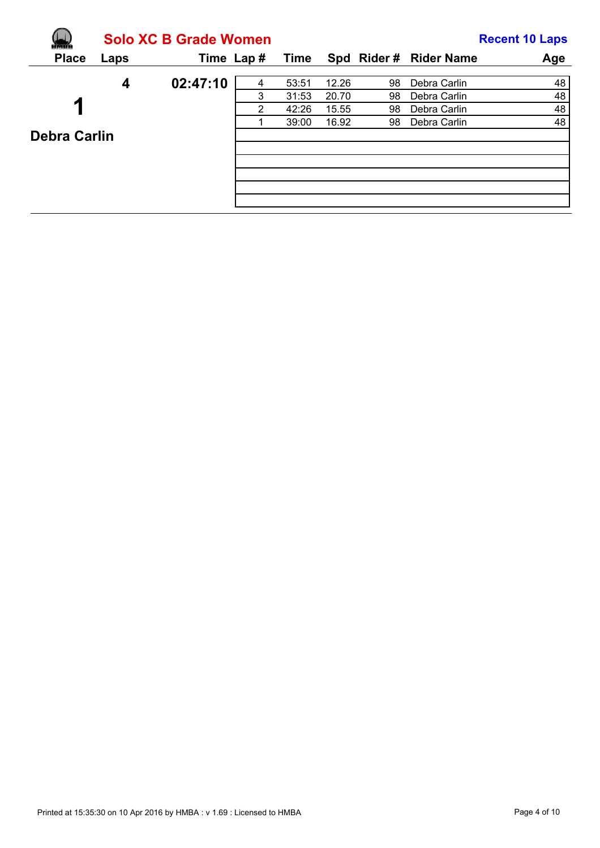|                     |      | <b>Solo XC B Grade Women</b> |   |       |       |    |                        | <b>Recent 10 Laps</b> |
|---------------------|------|------------------------------|---|-------|-------|----|------------------------|-----------------------|
| <b>Place</b>        | Laps | Time Lap#                    |   | Time  |       |    | Spd Rider # Rider Name | Age                   |
|                     | 4    | 02:47:10                     | 4 | 53:51 | 12.26 | 98 | Debra Carlin           | 48                    |
|                     |      |                              | 3 | 31:53 | 20.70 | 98 | Debra Carlin           | 48                    |
| 1                   |      |                              | 2 | 42:26 | 15.55 | 98 | Debra Carlin           | 48                    |
|                     |      |                              |   | 39:00 | 16.92 | 98 | Debra Carlin           | 48                    |
| <b>Debra Carlin</b> |      |                              |   |       |       |    |                        |                       |
|                     |      |                              |   |       |       |    |                        |                       |
|                     |      |                              |   |       |       |    |                        |                       |
|                     |      |                              |   |       |       |    |                        |                       |
|                     |      |                              |   |       |       |    |                        |                       |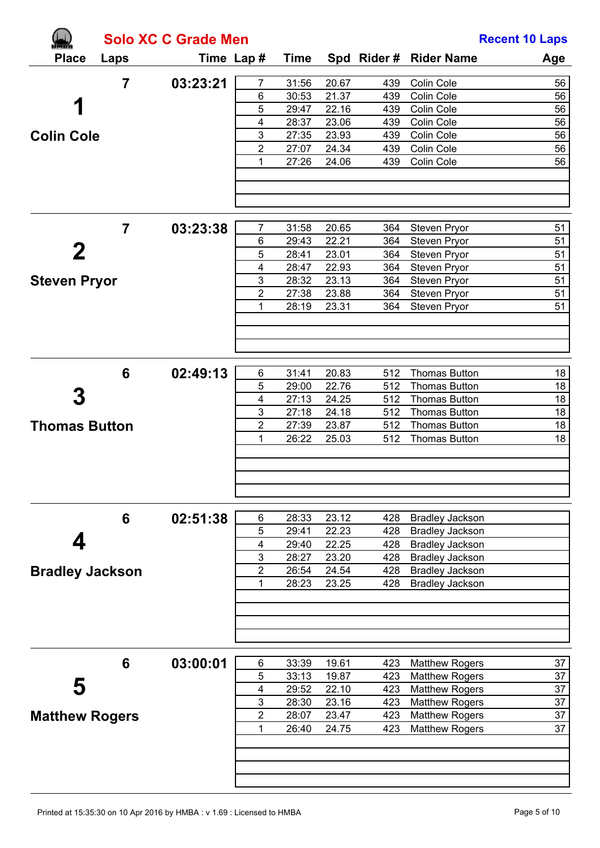|                        |                | <b>Solo XC C Grade Men</b> |                         |                |                |            |                                                  | <b>Recent 10 Laps</b> |
|------------------------|----------------|----------------------------|-------------------------|----------------|----------------|------------|--------------------------------------------------|-----------------------|
| <b>Place</b>           | Laps           | Time Lap #                 |                         | <b>Time</b>    |                |            | Spd Rider # Rider Name                           | Age                   |
|                        | $\overline{7}$ | 03:23:21                   | $\overline{7}$          | 31:56          | 20.67          | 439        | Colin Cole                                       | 56                    |
|                        |                |                            | 6                       | 30:53          | 21.37          | 439        | Colin Cole                                       | 56                    |
| 1                      |                |                            | 5                       | 29:47          | 22.16          | 439        | Colin Cole                                       | 56                    |
|                        |                |                            | $\overline{\mathbf{4}}$ | 28:37          | 23.06          | 439        | Colin Cole                                       | 56                    |
| <b>Colin Cole</b>      |                |                            | 3                       | 27:35          | 23.93          | 439        | Colin Cole                                       | 56                    |
|                        |                |                            | $\overline{2}$          | 27:07          | 24.34          | 439        | Colin Cole                                       | 56                    |
|                        |                |                            | $\mathbf{1}$            | 27:26          | 24.06          | 439        | Colin Cole                                       | 56                    |
|                        |                |                            |                         |                |                |            |                                                  |                       |
|                        | $\overline{7}$ | 03:23:38                   | 7                       | 31:58          | 20.65          | 364        | Steven Pryor                                     | 51                    |
|                        |                |                            | 6                       | 29:43          | 22.21          | 364        | Steven Pryor                                     | 51                    |
|                        |                |                            | 5                       | 28:41          | 23.01          | 364        | Steven Pryor                                     | 51                    |
|                        |                |                            | $\overline{\mathbf{4}}$ | 28:47          | 22.93          | 364        | Steven Pryor                                     | 51                    |
| <b>Steven Pryor</b>    |                |                            | 3                       | 28:32          | 23.13          | 364        | Steven Pryor                                     | 51                    |
|                        |                |                            | $\overline{2}$          | 27:38          | 23.88          | 364        | Steven Pryor                                     | 51                    |
|                        |                |                            | $\mathbf 1$             | 28:19          | 23.31          | 364        | Steven Pryor                                     | 51                    |
|                        |                |                            |                         |                |                |            |                                                  |                       |
|                        |                |                            |                         |                |                |            |                                                  |                       |
|                        | 6              | 02:49:13                   | 6<br>5                  | 31:41<br>29:00 | 20.83<br>22.76 | 512<br>512 | <b>Thomas Button</b><br><b>Thomas Button</b>     | 18<br>18              |
|                        |                |                            | $\overline{\mathbf{4}}$ | 27:13          | 24.25          | 512        | <b>Thomas Button</b>                             | 18                    |
|                        |                |                            | $\mathfrak{S}$          | 27:18          | 24.18          | 512        | <b>Thomas Button</b>                             | 18                    |
| <b>Thomas Button</b>   |                |                            | $\overline{c}$          | 27:39          | 23.87          | 512        | <b>Thomas Button</b>                             | 18                    |
|                        |                |                            | 1                       | 26:22          | 25.03          | 512        | <b>Thomas Button</b>                             | 18                    |
|                        |                |                            |                         |                |                |            |                                                  |                       |
|                        |                |                            |                         |                |                |            |                                                  |                       |
|                        | 6              | 02:51:38                   | 6                       | 28:33          | 23.12          | 428        | <b>Bradley Jackson</b>                           |                       |
|                        |                |                            | 5                       | 29:41          | 22.23          | 428        | <b>Bradley Jackson</b>                           |                       |
| 4                      |                |                            | $\overline{\mathbf{4}}$ | 29:40          | 22.25          | 428        | <b>Bradley Jackson</b>                           |                       |
|                        |                |                            | $\mathfrak{S}$          | 28:27          | 23.20          | 428        | <b>Bradley Jackson</b>                           |                       |
| <b>Bradley Jackson</b> |                |                            | $\overline{2}$<br>1     | 26:54<br>28:23 | 24.54<br>23.25 | 428<br>428 | <b>Bradley Jackson</b><br><b>Bradley Jackson</b> |                       |
|                        |                |                            |                         |                |                |            |                                                  |                       |
|                        |                |                            |                         |                |                |            |                                                  |                       |
|                        | 6              | 03:00:01                   | 6                       | 33:39          | 19.61          | 423        | <b>Matthew Rogers</b>                            | 37                    |
|                        |                |                            | 5                       | 33:13          | 19.87          | 423        | <b>Matthew Rogers</b>                            | 37                    |
| 5                      |                |                            | $\overline{\mathbf{4}}$ | 29:52          | 22.10          | 423        | <b>Matthew Rogers</b>                            | 37                    |
|                        |                |                            | $\mathfrak{S}$          | 28:30          | 23.16          | 423        | <b>Matthew Rogers</b>                            | 37                    |
| <b>Matthew Rogers</b>  |                |                            | $\overline{2}$          | 28:07          | 23.47          | 423        | <b>Matthew Rogers</b>                            | 37                    |
|                        |                |                            | 1                       | 26:40          | 24.75          | 423        | <b>Matthew Rogers</b>                            | 37                    |
|                        |                |                            |                         |                |                |            |                                                  |                       |
|                        |                |                            |                         |                |                |            |                                                  |                       |
|                        |                |                            |                         |                |                |            |                                                  |                       |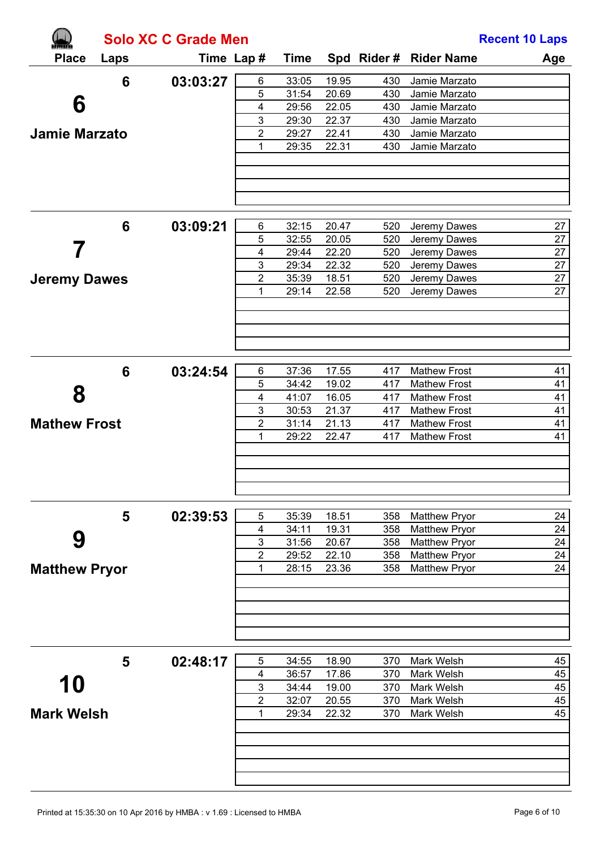|                      |      | <b>Solo XC C Grade Men</b> |                              |                |                |            |                          | <b>Recent 10 Laps</b> |
|----------------------|------|----------------------------|------------------------------|----------------|----------------|------------|--------------------------|-----------------------|
| <b>Place</b>         | Laps |                            | Time Lap #                   | <b>Time</b>    |                |            | Spd Rider # Rider Name   | Age                   |
|                      | 6    | 03:03:27                   | $\,6$                        | 33:05          | 19.95          | 430        | Jamie Marzato            |                       |
|                      |      |                            | 5                            | 31:54          | 20.69          | 430        | Jamie Marzato            |                       |
| 6                    |      |                            | $\overline{\mathbf{4}}$      | 29:56          | 22.05          | 430        | Jamie Marzato            |                       |
|                      |      |                            | $\mathbf{3}$                 | 29:30          | 22.37          | 430        | Jamie Marzato            |                       |
| <b>Jamie Marzato</b> |      |                            | 2                            | 29:27          | 22.41          | 430        | Jamie Marzato            |                       |
|                      |      |                            | 1                            | 29:35          | 22.31          | 430        | Jamie Marzato            |                       |
|                      |      |                            |                              |                |                |            |                          |                       |
|                      |      |                            |                              |                |                |            |                          |                       |
|                      |      |                            |                              |                |                |            |                          |                       |
|                      | 6    | 03:09:21                   | 6                            | 32:15          | 20.47          | 520        | Jeremy Dawes             | 27                    |
|                      |      |                            | 5                            | 32:55          | 20.05          | 520        | Jeremy Dawes             | 27                    |
|                      |      |                            | $\overline{\mathbf{4}}$      | 29:44          | 22.20          | 520        | Jeremy Dawes             | 27                    |
|                      |      |                            | $\mathbf{3}$                 | 29:34          | 22.32          | 520        | Jeremy Dawes             | 27                    |
| <b>Jeremy Dawes</b>  |      |                            | $\overline{2}$               | 35:39          | 18.51          | 520        | Jeremy Dawes             | 27                    |
|                      |      |                            | 1                            | 29:14          | 22.58          | 520        | Jeremy Dawes             | 27                    |
|                      |      |                            |                              |                |                |            |                          |                       |
|                      |      |                            |                              |                |                |            |                          |                       |
|                      | 6    | 03:24:54                   | 6                            | 37:36          | 17.55          | 417        | <b>Mathew Frost</b>      | 41                    |
|                      |      |                            | 5                            | 34:42          | 19.02          | 417        | <b>Mathew Frost</b>      | 41                    |
| 8                    |      |                            | $\overline{\mathbf{4}}$      | 41:07          | 16.05          | 417        | <b>Mathew Frost</b>      | 41                    |
|                      |      |                            | $\mathbf{3}$                 | 30:53          | 21.37          | 417        | <b>Mathew Frost</b>      | 41                    |
| <b>Mathew Frost</b>  |      |                            | $\overline{2}$               | 31:14          | 21.13          | 417        | <b>Mathew Frost</b>      | 41                    |
|                      |      |                            | 1                            | 29:22          | 22.47          | 417        | <b>Mathew Frost</b>      | 41                    |
|                      |      |                            |                              |                |                |            |                          |                       |
|                      |      |                            |                              |                |                |            |                          |                       |
|                      | 5    | 02:39:53                   | 5                            | 35:39          | 18.51          | 358        | <b>Matthew Pryor</b>     | 24                    |
|                      |      |                            | 4                            | 34:11          | 19.31          | 358        | <b>Matthew Pryor</b>     | 24                    |
| 9                    |      |                            | $\mathsf 3$                  | 31:56          | 20.67          | 358        | <b>Matthew Pryor</b>     | 24                    |
|                      |      |                            | $\overline{2}$               | 29:52          | 22.10          | 358        | <b>Matthew Pryor</b>     | 24                    |
| <b>Matthew Pryor</b> |      |                            | 1                            | 28:15          | 23.36          | 358        | <b>Matthew Pryor</b>     | 24                    |
|                      |      |                            |                              |                |                |            |                          |                       |
|                      |      |                            |                              |                |                |            |                          |                       |
|                      |      |                            |                              |                |                |            |                          |                       |
|                      | 5    | 02:48:17                   | 5                            | 34:55          | 18.90          | 370        | Mark Welsh               | 45                    |
| 10                   |      |                            | 4                            | 36:57          | 17.86          | 370        | Mark Welsh               | 45                    |
|                      |      |                            | $\sqrt{3}$<br>$\overline{2}$ | 34:44<br>32:07 | 19.00<br>20.55 | 370<br>370 | Mark Welsh<br>Mark Welsh | 45<br>45              |
| <b>Mark Welsh</b>    |      |                            | 1                            | 29:34          | 22.32          | 370        | Mark Welsh               | 45                    |
|                      |      |                            |                              |                |                |            |                          |                       |
|                      |      |                            |                              |                |                |            |                          |                       |
|                      |      |                            |                              |                |                |            |                          |                       |
|                      |      |                            |                              |                |                |            |                          |                       |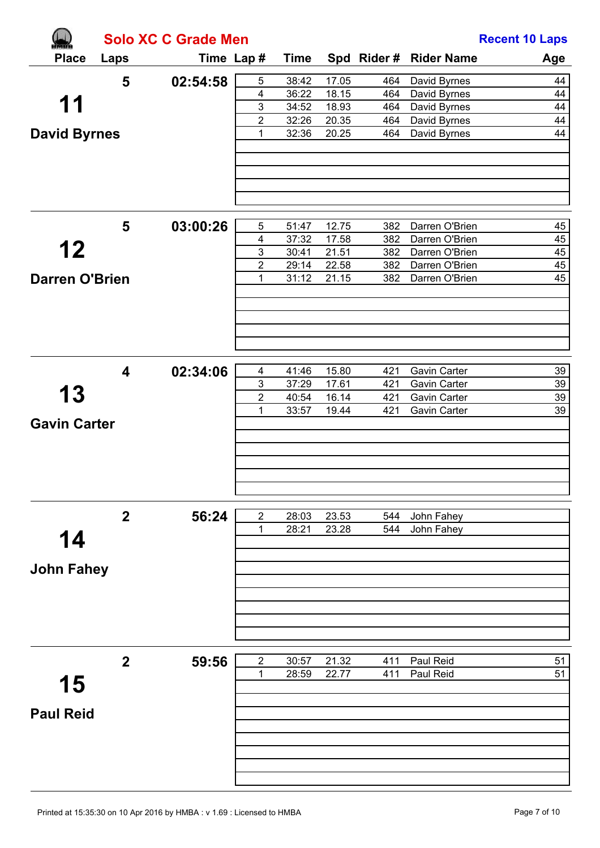|                       |                  | <b>Solo XC C Grade Men</b> |                         |             | <b>Recent 10 Laps</b> |     |                        |     |  |
|-----------------------|------------------|----------------------------|-------------------------|-------------|-----------------------|-----|------------------------|-----|--|
| <b>Place</b>          | Laps             |                            | Time Lap#               | <b>Time</b> |                       |     | Spd Rider # Rider Name | Age |  |
|                       | 5                | 02:54:58                   | $\sqrt{5}$              | 38:42       | 17.05                 | 464 | David Byrnes           | 44  |  |
|                       |                  |                            | $\overline{\mathbf{4}}$ | 36:22       | 18.15                 | 464 | David Byrnes           | 44  |  |
| 11                    |                  |                            | $\mathbf{3}$            | 34:52       | 18.93                 | 464 | David Byrnes           | 44  |  |
|                       |                  |                            | $\overline{2}$          | 32:26       | 20.35                 | 464 | David Byrnes           | 44  |  |
| <b>David Byrnes</b>   |                  |                            | 1                       | 32:36       | 20.25                 | 464 | David Byrnes           | 44  |  |
|                       |                  |                            |                         |             |                       |     |                        |     |  |
|                       | 5                | 03:00:26                   | 5                       | 51:47       | 12.75                 | 382 | Darren O'Brien         | 45  |  |
|                       |                  |                            | $\overline{\mathbf{4}}$ | 37:32       | 17.58                 | 382 | Darren O'Brien         | 45  |  |
| 12                    |                  |                            | $\mathbf{3}$            | 30:41       | 21.51                 | 382 | Darren O'Brien         | 45  |  |
|                       |                  |                            | $\overline{2}$          | 29:14       | 22.58                 | 382 | Darren O'Brien         | 45  |  |
| <b>Darren O'Brien</b> |                  |                            | 1                       | 31:12       | 21.15                 | 382 | Darren O'Brien         | 45  |  |
|                       |                  |                            |                         |             |                       |     |                        |     |  |
|                       | 4                | 02:34:06                   | $\overline{\mathbf{4}}$ | 41:46       | 15.80                 | 421 | Gavin Carter           | 39  |  |
|                       |                  |                            | $\mathbf{3}$            | 37:29       | 17.61                 | 421 | Gavin Carter           | 39  |  |
| 13                    |                  |                            | $\overline{2}$          | 40:54       | 16.14                 | 421 | Gavin Carter           | 39  |  |
| <b>Gavin Carter</b>   |                  |                            | 1                       | 33:57       | 19.44                 | 421 | Gavin Carter           | 39  |  |
|                       |                  |                            |                         |             |                       |     |                        |     |  |
|                       | $\boldsymbol{2}$ | 56:24                      | $\overline{2}$          | 28:03       | 23.53                 | 544 | John Fahey             |     |  |
|                       |                  |                            | 1                       | 28:21       | 23.28                 | 544 | John Fahey             |     |  |
| 14                    |                  |                            |                         |             |                       |     |                        |     |  |
|                       |                  |                            |                         |             |                       |     |                        |     |  |
| <b>John Fahey</b>     |                  |                            |                         |             |                       |     |                        |     |  |
|                       |                  |                            |                         |             |                       |     |                        |     |  |
|                       | $\boldsymbol{2}$ | 59:56                      | $\sqrt{2}$              | 30:57       | 21.32                 | 411 | Paul Reid              | 51  |  |
|                       |                  |                            | 1                       | 28:59       | 22.77                 | 411 | Paul Reid              | 51  |  |
| 15                    |                  |                            |                         |             |                       |     |                        |     |  |
|                       |                  |                            |                         |             |                       |     |                        |     |  |
| <b>Paul Reid</b>      |                  |                            |                         |             |                       |     |                        |     |  |
|                       |                  |                            |                         |             |                       |     |                        |     |  |
|                       |                  |                            |                         |             |                       |     |                        |     |  |
|                       |                  |                            |                         |             |                       |     |                        |     |  |
|                       |                  |                            |                         |             |                       |     |                        |     |  |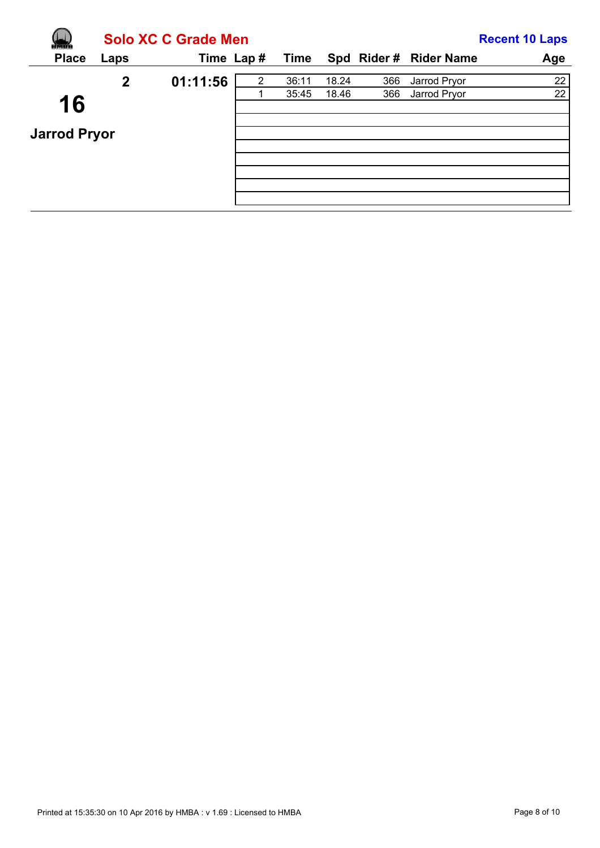|                           |              | <b>Solo XC C Grade Men</b> |   |       |       |     |                        | <b>Recent 10 Laps</b> |
|---------------------------|--------------|----------------------------|---|-------|-------|-----|------------------------|-----------------------|
| <b>Place</b>              | Laps         | Time Lap#                  |   | Time  |       |     | Spd Rider # Rider Name | Age                   |
|                           | $\mathbf{2}$ | 01:11:56                   | 2 | 36:11 | 18.24 | 366 | Jarrod Pryor           | 22                    |
| 16<br><b>Jarrod Pryor</b> |              |                            |   | 35:45 | 18.46 | 366 | Jarrod Pryor           | 22                    |
|                           |              |                            |   |       |       |     |                        |                       |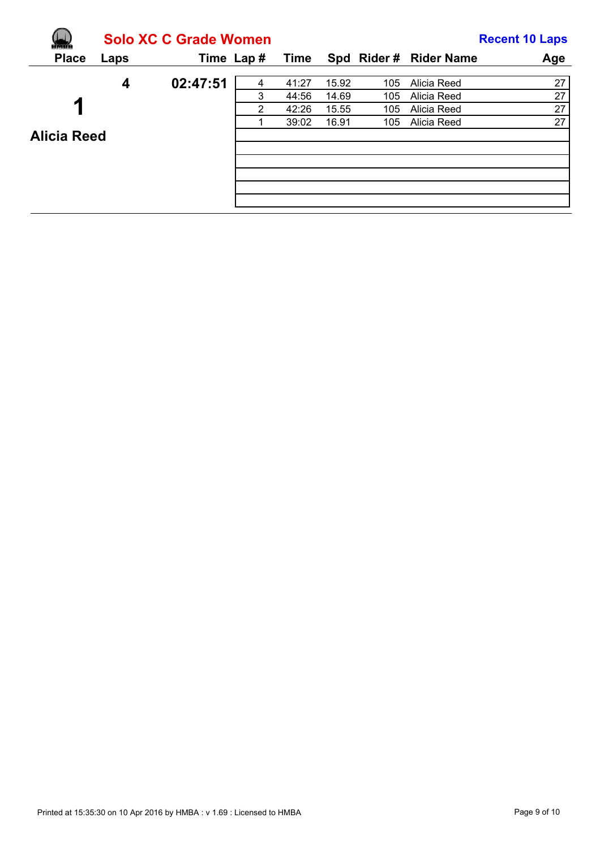|                         |      | <b>Solo XC C Grade Women</b> |                |             |       |     |                        | <b>Recent 10 Laps</b> |
|-------------------------|------|------------------------------|----------------|-------------|-------|-----|------------------------|-----------------------|
| <b>Place</b>            | Laps | Time Lap#                    |                | <b>Time</b> |       |     | Spd Rider # Rider Name | Age                   |
|                         | 4    | 02:47:51                     | 4              | 41:27       | 15.92 | 105 | Alicia Reed            | 27                    |
|                         |      |                              | 3              | 44:56       | 14.69 | 105 | Alicia Reed            | 27                    |
| $\overline{\mathbf{A}}$ |      |                              | $\overline{2}$ | 42:26       | 15.55 | 105 | Alicia Reed            | 27                    |
|                         |      |                              |                | 39:02       | 16.91 | 105 | Alicia Reed            | 27                    |
| <b>Alicia Reed</b>      |      |                              |                |             |       |     |                        |                       |
|                         |      |                              |                |             |       |     |                        |                       |
|                         |      |                              |                |             |       |     |                        |                       |
|                         |      |                              |                |             |       |     |                        |                       |
|                         |      |                              |                |             |       |     |                        |                       |